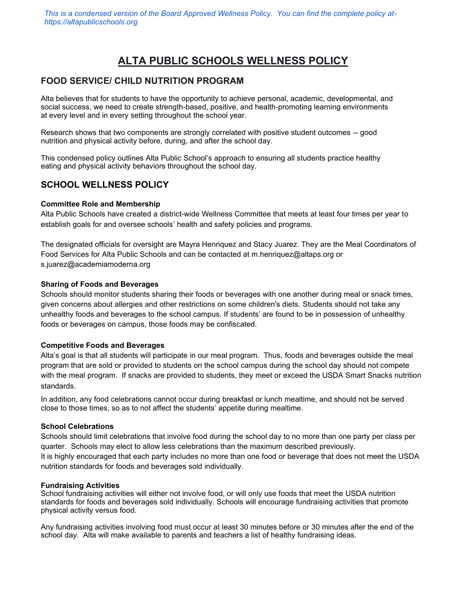# **ALTA PUBLIC SCHOOLS WELLNESS POLICY**

# **FOOD SERVICE/ CHILD NUTRITION PROGRAM**

Alta believes that for students to have the opportunity to achieve personal, academic, developmental, and social success, we need to create strength-based, positive, and health-promoting learning environments at every level and in every setting throughout the school year.

Research shows that two components are strongly correlated with positive student outcomes -- good nutrition and physical activity before, during, and after the school day.

This condensed policy outlines Alta Public School's approach to ensuring all students practice healthy eating and physical activity behaviors throughout the school day.

# **SCHOOL WELLNESS POLICY**

#### **Committee Role and Membership**

Alta Public Schools have created a district-wide Wellness Committee that meets at least four times per year to establish goals for and oversee schools' health and safety policies and programs.

The designated officials for oversight are Mayra Henriquez and Stacy Juarez. They are the Meal Coordinators of Food Services for Alta Public Schools and can be contacted at m.henriquez@altaps.org or s.juarez@academiamoderna.org

#### **Sharing of Foods and Beverages**

Schools should monitor students sharing their foods or beverages with one another during meal or snack times, given concerns about allergies and other restrictions on some children's diets. Students should not take any unhealthy foods and beverages to the school campus. If students' are found to be in possession of unhealthy foods or beverages on campus, those foods may be confiscated.

#### **Competitive Foods and Beverages**

Alta's goal is that all students will participate in our meal program. Thus, foods and beverages outside the meal program that are sold or provided to students on the school campus during the school day should not compete with the meal program. If snacks are provided to students, they meet or exceed the USDA Smart Snacks nutrition standards.

In addition, any food celebrations cannot occur during breakfast or lunch mealtime, and should not be served close to those times, so as to not affect the students' appetite during mealtime.

#### **School Celebrations**

Schools should limit celebrations that involve food during the school day to no more than one party per class per quarter. Schools may elect to allow less celebrations than the maximum described previously. It is highly encouraged that each party includes no more than one food or beverage that does not meet the USDA nutrition standards for foods and beverages sold individually.

#### **Fundraising Activities**

School fundraising activities will either not involve food, or will only use foods that meet the USDA nutrition standards for foods and beverages sold individually. Schools will encourage fundraising activities that promote physical activity versus food.

Any fundraising activities involving food must occur at least 30 minutes before or 30 minutes after the end of the school day. Alta will make available to parents and teachers a list of healthy fundraising ideas.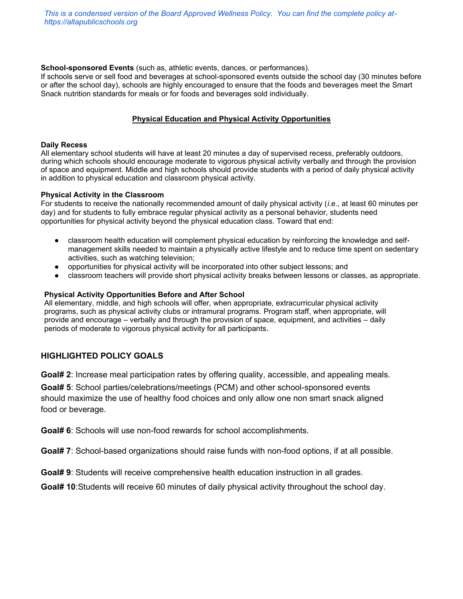*This is a condensed version of the Board Approved Wellness Policy. You can find the complete policy athttps://altapublicschools.org*

#### **School-sponsored Events** (such as, athletic events, dances, or performances).

If schools serve or sell food and beverages at school-sponsored events outside the school day (30 minutes before or after the school day), schools are highly encouraged to ensure that the foods and beverages meet the Smart Snack nutrition standards for meals or for foods and beverages sold individually.

#### **Physical Education and Physical Activity Opportunities**

#### **Daily Recess**

All elementary school students will have at least 20 minutes a day of supervised recess, preferably outdoors, during which schools should encourage moderate to vigorous physical activity verbally and through the provision of space and equipment. Middle and high schools should provide students with a period of daily physical activity in addition to physical education and classroom physical activity.

#### **Physical Activity in the Classroom**

For students to receive the nationally recommended amount of daily physical activity (*i*.*e*., at least 60 minutes per day) and for students to fully embrace regular physical activity as a personal behavior, students need opportunities for physical activity beyond the physical education class. Toward that end:

- classroom health education will complement physical education by reinforcing the knowledge and selfmanagement skills needed to maintain a physically active lifestyle and to reduce time spent on sedentary activities, such as watching television;
- opportunities for physical activity will be incorporated into other subject lessons; and
- classroom teachers will provide short physical activity breaks between lessons or classes, as appropriate.

#### **Physical Activity Opportunities Before and After School**

All elementary, middle, and high schools will offer, when appropriate, extracurricular physical activity programs, such as physical activity clubs or intramural programs. Program staff, when appropriate, will provide and encourage – verbally and through the provision of space, equipment, and activities – daily periods of moderate to vigorous physical activity for all participants.

#### **HIGHLIGHTED POLICY GOALS**

**Goal# 2**: Increase meal participation rates by offering quality, accessible, and appealing meals.

**Goal# 5**: School parties/celebrations/meetings (PCM) and other school-sponsored events should maximize the use of healthy food choices and only allow one non smart snack aligned food or beverage.

**Goal# 6**: Schools will use non-food rewards for school accomplishments.

**Goal# 7**: School-based organizations should raise funds with non-food options, if at all possible.

**Goal# 9**: Students will receive comprehensive health education instruction in all grades.

**Goal# 10**:Students will receive 60 minutes of daily physical activity throughout the school day.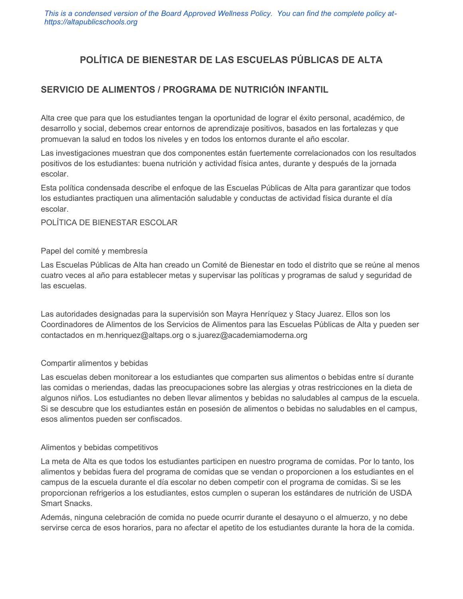*This is a condensed version of the Board Approved Wellness Policy. You can find the complete policy athttps://altapublicschools.org*

# **POLÍTICA DE BIENESTAR DE LAS ESCUELAS PÚBLICAS DE ALTA**

# **SERVICIO DE ALIMENTOS / PROGRAMA DE NUTRICIÓN INFANTIL**

Alta cree que para que los estudiantes tengan la oportunidad de lograr el éxito personal, académico, de desarrollo y social, debemos crear entornos de aprendizaje positivos, basados en las fortalezas y que promuevan la salud en todos los niveles y en todos los entornos durante el año escolar.

Las investigaciones muestran que dos componentes están fuertemente correlacionados con los resultados positivos de los estudiantes: buena nutrición y actividad física antes, durante y después de la jornada escolar.

Esta política condensada describe el enfoque de las Escuelas Públicas de Alta para garantizar que todos los estudiantes practiquen una alimentación saludable y conductas de actividad física durante el día escolar.

#### POLÍTICA DE BIENESTAR ESCOLAR

#### Papel del comité y membresía

Las Escuelas Públicas de Alta han creado un Comité de Bienestar en todo el distrito que se reúne al menos cuatro veces al año para establecer metas y supervisar las políticas y programas de salud y seguridad de las escuelas.

Las autoridades designadas para la supervisión son Mayra Henríquez y Stacy Juarez. Ellos son los Coordinadores de Alimentos de los Servicios de Alimentos para las Escuelas Públicas de Alta y pueden ser contactados en m.henriquez@altaps.org o s.juarez@academiamoderna.org

#### Compartir alimentos y bebidas

Las escuelas deben monitorear a los estudiantes que comparten sus alimentos o bebidas entre sí durante las comidas o meriendas, dadas las preocupaciones sobre las alergias y otras restricciones en la dieta de algunos niños. Los estudiantes no deben llevar alimentos y bebidas no saludables al campus de la escuela. Si se descubre que los estudiantes están en posesión de alimentos o bebidas no saludables en el campus, esos alimentos pueden ser confiscados.

#### Alimentos y bebidas competitivos

La meta de Alta es que todos los estudiantes participen en nuestro programa de comidas. Por lo tanto, los alimentos y bebidas fuera del programa de comidas que se vendan o proporcionen a los estudiantes en el campus de la escuela durante el día escolar no deben competir con el programa de comidas. Si se les proporcionan refrigerios a los estudiantes, estos cumplen o superan los estándares de nutrición de USDA Smart Snacks.

Además, ninguna celebración de comida no puede ocurrir durante el desayuno o el almuerzo, y no debe servirse cerca de esos horarios, para no afectar el apetito de los estudiantes durante la hora de la comida.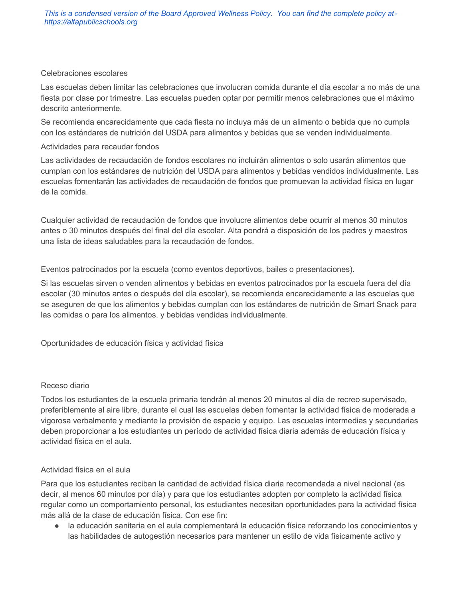### Celebraciones escolares

Las escuelas deben limitar las celebraciones que involucran comida durante el día escolar a no más de una fiesta por clase por trimestre. Las escuelas pueden optar por permitir menos celebraciones que el máximo descrito anteriormente.

Se recomienda encarecidamente que cada fiesta no incluya más de un alimento o bebida que no cumpla con los estándares de nutrición del USDA para alimentos y bebidas que se venden individualmente.

### Actividades para recaudar fondos

Las actividades de recaudación de fondos escolares no incluirán alimentos o solo usarán alimentos que cumplan con los estándares de nutrición del USDA para alimentos y bebidas vendidos individualmente. Las escuelas fomentarán las actividades de recaudación de fondos que promuevan la actividad física en lugar de la comida.

Cualquier actividad de recaudación de fondos que involucre alimentos debe ocurrir al menos 30 minutos antes o 30 minutos después del final del día escolar. Alta pondrá a disposición de los padres y maestros una lista de ideas saludables para la recaudación de fondos.

Eventos patrocinados por la escuela (como eventos deportivos, bailes o presentaciones).

Si las escuelas sirven o venden alimentos y bebidas en eventos patrocinados por la escuela fuera del día escolar (30 minutos antes o después del día escolar), se recomienda encarecidamente a las escuelas que se aseguren de que los alimentos y bebidas cumplan con los estándares de nutrición de Smart Snack para las comidas o para los alimentos. y bebidas vendidas individualmente.

Oportunidades de educación física y actividad física

#### Receso diario

Todos los estudiantes de la escuela primaria tendrán al menos 20 minutos al día de recreo supervisado, preferiblemente al aire libre, durante el cual las escuelas deben fomentar la actividad física de moderada a vigorosa verbalmente y mediante la provisión de espacio y equipo. Las escuelas intermedias y secundarias deben proporcionar a los estudiantes un período de actividad física diaria además de educación física y actividad física en el aula.

### Actividad física en el aula

Para que los estudiantes reciban la cantidad de actividad física diaria recomendada a nivel nacional (es decir, al menos 60 minutos por día) y para que los estudiantes adopten por completo la actividad física regular como un comportamiento personal, los estudiantes necesitan oportunidades para la actividad física más allá de la clase de educación física. Con ese fin:

la educación sanitaria en el aula complementará la educación física reforzando los conocimientos y las habilidades de autogestión necesarios para mantener un estilo de vida físicamente activo y